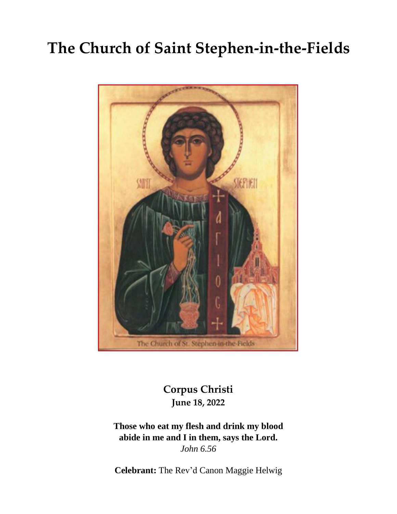# **The Church of Saint Stephen-in-the-Fields**



**Corpus Christi June 18, 2022**

**Those who eat my flesh and drink my blood abide in me and I in them, says the Lord.** *John 6.56*

**Celebrant:** The Rev'd Canon Maggie Helwig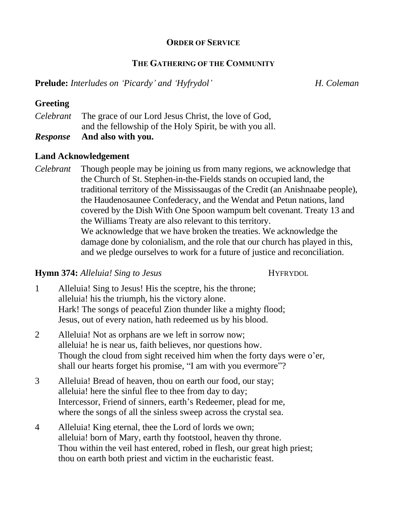#### **ORDER OF SERVICE**

#### **THE GATHERING OF THE COMMUNITY**

**Prelude:** *Interludes on 'Picardy' and 'Hyfrydol' H. Coleman*

#### **Greeting**

*Celebrant* The grace of our Lord Jesus Christ, the love of God, and the fellowship of the Holy Spirit, be with you all. *Response* **And also with you.**

#### **Land Acknowledgement**

*Celebrant* Though people may be joining us from many regions, we acknowledge that the Church of St. Stephen-in-the-Fields stands on occupied land, the traditional territory of the Mississaugas of the Credit (an Anishnaabe people), the Haudenosaunee Confederacy, and the Wendat and Petun nations, land covered by the Dish With One Spoon wampum belt covenant. Treaty 13 and the Williams Treaty are also relevant to this territory. We acknowledge that we have broken the treaties. We acknowledge the damage done by colonialism, and the role that our church has played in this, and we pledge ourselves to work for a future of justice and reconciliation.

#### **Hymn 374:** *Alleluia!* Sing to Jesus **HYFRYDOL**

- 1 Alleluia! Sing to Jesus! His the sceptre, his the throne; alleluia! his the triumph, his the victory alone. Hark! The songs of peaceful Zion thunder like a mighty flood; Jesus, out of every nation, hath redeemed us by his blood.
- 2 Alleluia! Not as orphans are we left in sorrow now; alleluia! he is near us, faith believes, nor questions how. Though the cloud from sight received him when the forty days were o'er, shall our hearts forget his promise, "I am with you evermore"?
- 3 Alleluia! Bread of heaven, thou on earth our food, our stay; alleluia! here the sinful flee to thee from day to day; Intercessor, Friend of sinners, earth's Redeemer, plead for me, where the songs of all the sinless sweep across the crystal sea.
- 4 Alleluia! King eternal, thee the Lord of lords we own; alleluia! born of Mary, earth thy footstool, heaven thy throne. Thou within the veil hast entered, robed in flesh, our great high priest; thou on earth both priest and victim in the eucharistic feast.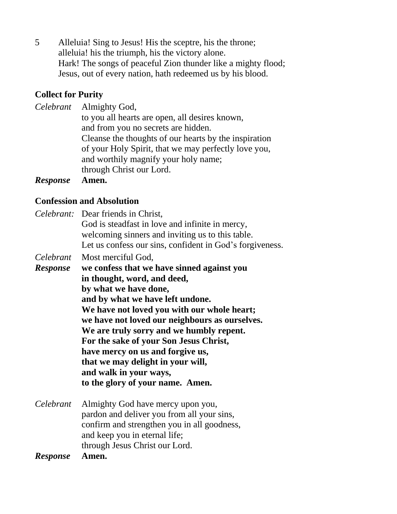5 Alleluia! Sing to Jesus! His the sceptre, his the throne; alleluia! his the triumph, his the victory alone. Hark! The songs of peaceful Zion thunder like a mighty flood; Jesus, out of every nation, hath redeemed us by his blood.

# **Collect for Purity**

|                 | Celebrant Almighty God,                               |
|-----------------|-------------------------------------------------------|
|                 | to you all hearts are open, all desires known,        |
|                 | and from you no secrets are hidden.                   |
|                 | Cleanse the thoughts of our hearts by the inspiration |
|                 | of your Holy Spirit, that we may perfectly love you,  |
|                 | and worthily magnify your holy name;                  |
|                 | through Christ our Lord.                              |
| <b>Response</b> | Amen.                                                 |

#### **Confession and Absolution**

|                       | <i>Celebrant:</i> Dear friends in Christ,<br>God is steadfast in love and infinite in mercy,<br>welcoming sinners and inviting us to this table.<br>Let us confess our sins, confident in God's forgiveness.                                                                                                                                                                                                                                                                               |
|-----------------------|--------------------------------------------------------------------------------------------------------------------------------------------------------------------------------------------------------------------------------------------------------------------------------------------------------------------------------------------------------------------------------------------------------------------------------------------------------------------------------------------|
| Celebrant<br>Response | Most merciful God,<br>we confess that we have sinned against you<br>in thought, word, and deed,<br>by what we have done,<br>and by what we have left undone.<br>We have not loved you with our whole heart;<br>we have not loved our neighbours as ourselves.<br>We are truly sorry and we humbly repent.<br>For the sake of your Son Jesus Christ,<br>have mercy on us and forgive us,<br>that we may delight in your will,<br>and walk in your ways,<br>to the glory of your name. Amen. |
| Celebrant             | Almighty God have mercy upon you,<br>pardon and deliver you from all your sins,<br>confirm and strengthen you in all goodness,<br>and keep you in eternal life;<br>through Jesus Christ our Lord.<br>Amen.                                                                                                                                                                                                                                                                                 |
| <b>Response</b>       |                                                                                                                                                                                                                                                                                                                                                                                                                                                                                            |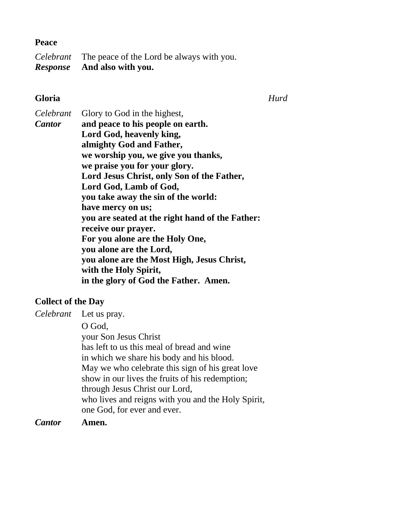#### **Peace**

*Celebrant* The peace of the Lord be always with you. *Response* **And also with you.**

### **Gloria** *Hurd*

| Celebrant     | Glory to God in the highest,                    |
|---------------|-------------------------------------------------|
| <b>Cantor</b> | and peace to his people on earth.               |
|               | Lord God, heavenly king,                        |
|               | almighty God and Father,                        |
|               | we worship you, we give you thanks,             |
|               | we praise you for your glory.                   |
|               | Lord Jesus Christ, only Son of the Father,      |
|               | Lord God, Lamb of God,                          |
|               | you take away the sin of the world:             |
|               | have mercy on us;                               |
|               | you are seated at the right hand of the Father: |
|               | receive our prayer.                             |
|               | For you alone are the Holy One,                 |
|               | you alone are the Lord,                         |
|               | you alone are the Most High, Jesus Christ,      |
|               | with the Holy Spirit,                           |
|               | in the glory of God the Father. Amen.           |

#### **Collect of the Day**

*Celebrant* Let us pray. O God, your Son Jesus Christ has left to us this meal of bread and wine in which we share his body and his blood. May we who celebrate this sign of his great love show in our lives the fruits of his redemption; through Jesus Christ our Lord, who lives and reigns with you and the Holy Spirit, one God, for ever and ever.

*Cantor* **Amen.**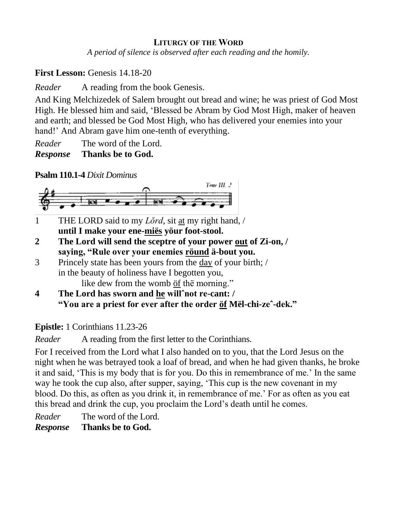#### **LITURGY OF THE WORD**

*A period of silence is observed after each reading and the homily.*

**First Lesson:** Genesis 14.18-20

*Reader* A reading from the book Genesis.

And King Melchizedek of Salem brought out bread and wine; he was priest of God Most High. He blessed him and said, 'Blessed be Abram by God Most High, maker of heaven and earth; and blessed be God Most High, who has delivered your enemies into your hand!' And Abram gave him one-tenth of everything.

*Reader* The word of the Lord. *Response* **Thanks be to God.**

**Psalm 110.1-4** *Dixit Dominus* 



- 1 THE LORD said to my *Lŏrd*, sit at my right hand, / **until I make your ene-miës yöur foot-stool.**
- **2 The Lord will send the sceptre of your power out of Zi-on, / saying, "Rule over your enemies röund ä-bout you.**
- 3 Princely state has been yours from the day of your birth; / in the beauty of holiness have I begotten you, like dew from the womb öf thë morning."
- **4 The Lord has sworn and he willˆnot re-cant: / "You are a priest for ever after the order öf Mël-chi-zeˆ-dek."**

**Epistle:** 1 Corinthians 11.23-26

*Reader* A reading from the first letter to the Corinthians.

For I received from the Lord what I also handed on to you, that the Lord Jesus on the night when he was betrayed took a loaf of bread, and when he had given thanks, he broke it and said, 'This is my body that is for you. Do this in remembrance of me.' In the same way he took the cup also, after supper, saying, 'This cup is the new covenant in my blood. Do this, as often as you drink it, in remembrance of me.' For as often as you eat this bread and drink the cup, you proclaim the Lord's death until he comes.

*Reader* The word of the Lord. *Response* **Thanks be to God.**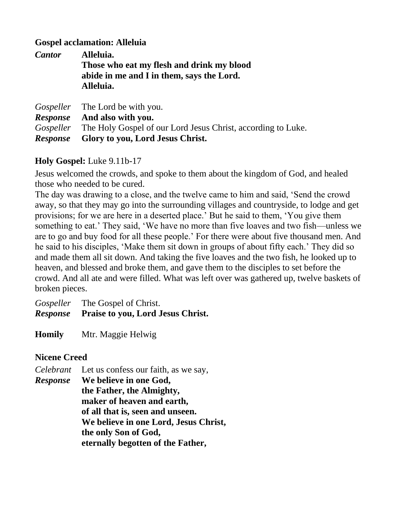#### **Gospel acclamation: Alleluia**

| <b>Cantor</b>   | Alleluia.<br>Those who eat my flesh and drink my blood<br>abide in me and I in them, says the Lord.<br>Alleluia. |
|-----------------|------------------------------------------------------------------------------------------------------------------|
|                 | <i>Gospeller</i> The Lord be with you.                                                                           |
| Response        | And also with you.                                                                                               |
| Gospeller       | The Holy Gospel of our Lord Jesus Christ, according to Luke.                                                     |
| <b>Response</b> | Glory to you, Lord Jesus Christ.                                                                                 |

#### **Holy Gospel:** Luke 9.11b-17

Jesus welcomed the crowds, and spoke to them about the kingdom of God, and healed those who needed to be cured.

The day was drawing to a close, and the twelve came to him and said, 'Send the crowd away, so that they may go into the surrounding villages and countryside, to lodge and get provisions; for we are here in a deserted place.' But he said to them, 'You give them something to eat.' They said, 'We have no more than five loaves and two fish—unless we are to go and buy food for all these people.' For there were about five thousand men. And he said to his disciples, 'Make them sit down in groups of about fifty each.' They did so and made them all sit down. And taking the five loaves and the two fish, he looked up to heaven, and blessed and broke them, and gave them to the disciples to set before the crowd. And all ate and were filled. What was left over was gathered up, twelve baskets of broken pieces.

| <i>Response</i> Praise to you, Lord Jesus Christ. |
|---------------------------------------------------|
| <i>Gospeller</i> The Gospel of Christ.            |

**Homily** Mtr. Maggie Helwig

#### **Nicene Creed**

*Celebrant* Let us confess our faith, as we say,

*Response* **We believe in one God, the Father, the Almighty, maker of heaven and earth, of all that is, seen and unseen. We believe in one Lord, Jesus Christ, the only Son of God, eternally begotten of the Father,**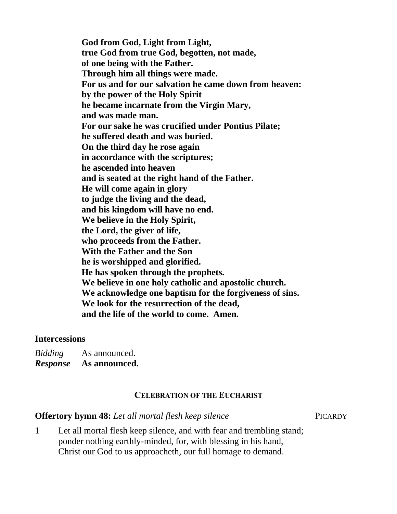**God from God, Light from Light, true God from true God, begotten, not made, of one being with the Father. Through him all things were made. For us and for our salvation he came down from heaven: by the power of the Holy Spirit he became incarnate from the Virgin Mary, and was made man. For our sake he was crucified under Pontius Pilate; he suffered death and was buried. On the third day he rose again in accordance with the scriptures; he ascended into heaven and is seated at the right hand of the Father. He will come again in glory to judge the living and the dead, and his kingdom will have no end. We believe in the Holy Spirit, the Lord, the giver of life, who proceeds from the Father. With the Father and the Son he is worshipped and glorified. He has spoken through the prophets. We believe in one holy catholic and apostolic church. We acknowledge one baptism for the forgiveness of sins. We look for the resurrection of the dead, and the life of the world to come. Amen.**

#### **Intercessions**

*Bidding* As announced. *Response* **As announced.**

#### **CELEBRATION OF THE EUCHARIST**

#### **Offertory hymn 48:** *Let all mortal flesh keep silence* PICARDY

1 Let all mortal flesh keep silence, and with fear and trembling stand; ponder nothing earthly-minded, for, with blessing in his hand, Christ our God to us approacheth, our full homage to demand.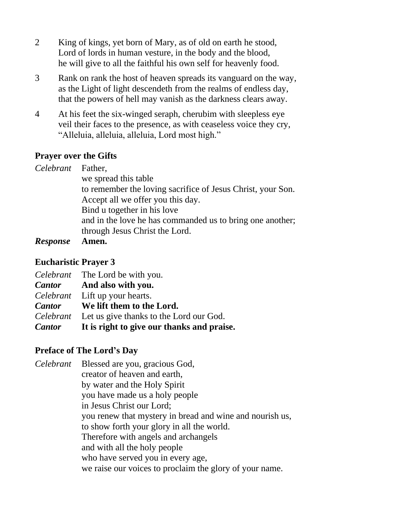- 2 King of kings, yet born of Mary, as of old on earth he stood, Lord of lords in human vesture, in the body and the blood, he will give to all the faithful his own self for heavenly food.
- 3 Rank on rank the host of heaven spreads its vanguard on the way, as the Light of light descendeth from the realms of endless day, that the powers of hell may vanish as the darkness clears away.
- 4 At his feet the six-winged seraph, cherubim with sleepless eye veil their faces to the presence, as with ceaseless voice they cry, "Alleluia, alleluia, alleluia, Lord most high."

#### **Prayer over the Gifts**

| <i>Celebrant</i> Father, |                                                             |
|--------------------------|-------------------------------------------------------------|
|                          | we spread this table                                        |
|                          | to remember the loving sacrifice of Jesus Christ, your Son. |
|                          | Accept all we offer you this day.                           |
|                          | Bind u together in his love                                 |
|                          | and in the love he has commanded us to bring one another;   |
|                          | through Jesus Christ the Lord.                              |
|                          |                                                             |

*Response* **Amen.**

#### **Eucharistic Prayer 3**

| <i>Celebrant</i> The Lord be with you.                   |
|----------------------------------------------------------|
| <i>Cantor</i> And also with you.                         |
| <i>Celebrant</i> Lift up your hearts.                    |
| <i>Cantor</i> We lift them to the Lord.                  |
| <i>Celebrant</i> Let us give thanks to the Lord our God. |
| <i>Cantor</i> It is right to give our thanks and praise. |

#### **Preface of The Lord's Day**

*Celebrant* Blessed are you, gracious God, creator of heaven and earth, by water and the Holy Spirit you have made us a holy people in Jesus Christ our Lord; you renew that mystery in bread and wine and nourish us, to show forth your glory in all the world. Therefore with angels and archangels and with all the holy people who have served you in every age, we raise our voices to proclaim the glory of your name.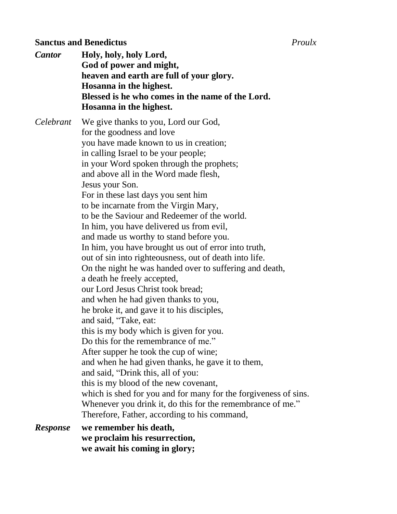# **Sanctus and Benedictus** *Proulx*

| <b>Cantor</b>   | Holy, holy, holy Lord,<br>God of power and might,<br>heaven and earth are full of your glory.<br>Hosanna in the highest.<br>Blessed is he who comes in the name of the Lord.<br>Hosanna in the highest.                                                                                                                                                                                                                                                                                                                                                                                                                                                                                                                                                                                                                                                                                                                                                                                                                                                                                                                                                                                                                                                                                              |
|-----------------|------------------------------------------------------------------------------------------------------------------------------------------------------------------------------------------------------------------------------------------------------------------------------------------------------------------------------------------------------------------------------------------------------------------------------------------------------------------------------------------------------------------------------------------------------------------------------------------------------------------------------------------------------------------------------------------------------------------------------------------------------------------------------------------------------------------------------------------------------------------------------------------------------------------------------------------------------------------------------------------------------------------------------------------------------------------------------------------------------------------------------------------------------------------------------------------------------------------------------------------------------------------------------------------------------|
| Celebrant       | We give thanks to you, Lord our God,<br>for the goodness and love<br>you have made known to us in creation;<br>in calling Israel to be your people;<br>in your Word spoken through the prophets;<br>and above all in the Word made flesh,<br>Jesus your Son.<br>For in these last days you sent him<br>to be incarnate from the Virgin Mary,<br>to be the Saviour and Redeemer of the world.<br>In him, you have delivered us from evil,<br>and made us worthy to stand before you.<br>In him, you have brought us out of error into truth,<br>out of sin into righteousness, out of death into life.<br>On the night he was handed over to suffering and death,<br>a death he freely accepted,<br>our Lord Jesus Christ took bread;<br>and when he had given thanks to you,<br>the broke it, and gave it to his disciples,<br>and said, "Take, eat:<br>this is my body which is given for you.<br>Do this for the remembrance of me."<br>After supper he took the cup of wine;<br>and when he had given thanks, he gave it to them,<br>and said, "Drink this, all of you:<br>this is my blood of the new covenant,<br>which is shed for you and for many for the forgiveness of sins.<br>Whenever you drink it, do this for the remembrance of me."<br>Therefore, Father, according to his command, |
| <b>Response</b> | we remember his death,                                                                                                                                                                                                                                                                                                                                                                                                                                                                                                                                                                                                                                                                                                                                                                                                                                                                                                                                                                                                                                                                                                                                                                                                                                                                               |

**we proclaim his resurrection, we await his coming in glory;**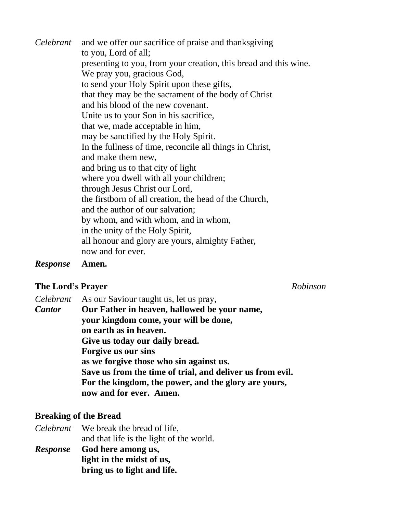*Celebrant* and we offer our sacrifice of praise and thanksgiving to you, Lord of all; presenting to you, from your creation, this bread and this wine. We pray you, gracious God, to send your Holy Spirit upon these gifts, that they may be the sacrament of the body of Christ and his blood of the new covenant. Unite us to your Son in his sacrifice, that we, made acceptable in him, may be sanctified by the Holy Spirit. In the fullness of time, reconcile all things in Christ, and make them new, and bring us to that city of light where you dwell with all your children; through Jesus Christ our Lord, the firstborn of all creation, the head of the Church, and the author of our salvation; by whom, and with whom, and in whom, in the unity of the Holy Spirit, all honour and glory are yours, almighty Father, now and for ever.

#### *Response* **Amen.**

#### **The Lord's Prayer** *Robinson*

*Celebrant* As our Saviour taught us, let us pray, *Cantor* **Our Father in heaven, hallowed be your name, your kingdom come, your will be done, on earth as in heaven. Give us today our daily bread. Forgive us our sins as we forgive those who sin against us. Save us from the time of trial, and deliver us from evil. For the kingdom, the power, and the glory are yours, now and for ever. Amen.**

#### **Breaking of the Bread**

*Celebrant* We break the bread of life, and that life is the light of the world. *Response* **God here among us, light in the midst of us, bring us to light and life.**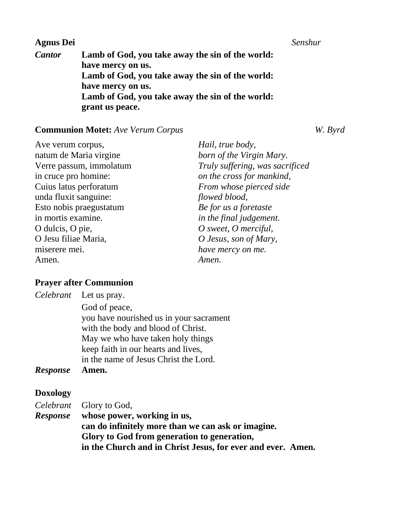| <b>Agnus Dei</b> |                                                  | Senshur |
|------------------|--------------------------------------------------|---------|
| <b>Cantor</b>    | Lamb of God, you take away the sin of the world: |         |
|                  | have mercy on us.                                |         |
|                  | Lamb of God, you take away the sin of the world: |         |
|                  | have mercy on us.                                |         |
|                  | Lamb of God, you take away the sin of the world: |         |
|                  | grant us peace.                                  |         |

#### **Communion Motet:** *Ave Verum Corpus W. Byrd*

Ave verum corpus, *Hail, true body*, natum de Maria virgine *born of the Virgin Mary.* in cruce pro homine: *on the cross for mankind,* Cuius latus perforatum *From whose pierced side*  unda fluxit sanguine: *flowed blood,* Esto nobis praegustatum *Be for us a foretaste*  in mortis examine. *in the final judgement.* O dulcis, O pie, *O sweet, O merciful,* O Jesu filiae Maria, *O Jesus, son of Mary,*  miserere mei. *have mercy on me.* Amen. *Amen.*

Verre passum, immolatum *Truly suffering, was sacrificed* 

#### **Prayer after Communion**

| <b>Response</b> |                                         |
|-----------------|-----------------------------------------|
|                 | in the name of Jesus Christ the Lord.   |
|                 | keep faith in our hearts and lives,     |
|                 | May we who have taken holy things       |
|                 | with the body and blood of Christ.      |
|                 | you have nourished us in your sacrament |
|                 | God of peace,                           |
|                 | Celebrant Let us pray.                  |

#### **Doxology**

|                 | <i>Celebrant</i> Glory to God,                              |
|-----------------|-------------------------------------------------------------|
| <b>Response</b> | whose power, working in us,                                 |
|                 | can do infinitely more than we can ask or imagine.          |
|                 | Glory to God from generation to generation,                 |
|                 | in the Church and in Christ Jesus, for ever and ever. Amen. |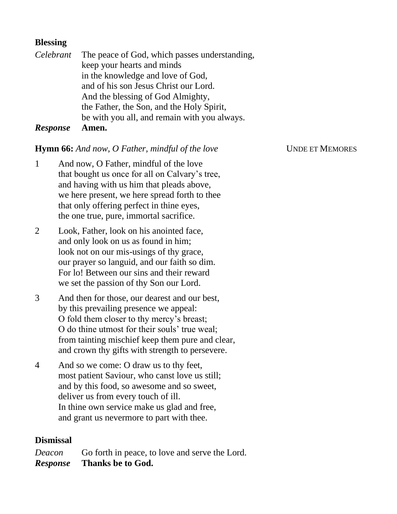#### **Blessing**

| Celebrant       | The peace of God, which passes understanding, |
|-----------------|-----------------------------------------------|
|                 | keep your hearts and minds                    |
|                 | in the knowledge and love of God,             |
|                 | and of his son Jesus Christ our Lord.         |
|                 | And the blessing of God Almighty,             |
|                 | the Father, the Son, and the Holy Spirit,     |
|                 | be with you all, and remain with you always.  |
| <b>Response</b> | Amen.                                         |

#### **Hymn 66:** And now, O Father, mindful of the love UNDE ET MEMORES

- 1 And now, O Father, mindful of the love that bought us once for all on Calvary's tree, and having with us him that pleads above, we here present, we here spread forth to thee that only offering perfect in thine eyes, the one true, pure, immortal sacrifice.
- 2 Look, Father, look on his anointed face, and only look on us as found in him; look not on our mis-usings of thy grace, our prayer so languid, and our faith so dim. For lo! Between our sins and their reward we set the passion of thy Son our Lord.
- 3 And then for those, our dearest and our best, by this prevailing presence we appeal: O fold them closer to thy mercy's breast; O do thine utmost for their souls' true weal; from tainting mischief keep them pure and clear, and crown thy gifts with strength to persevere.
- 4 And so we come: O draw us to thy feet, most patient Saviour, who canst love us still; and by this food, so awesome and so sweet, deliver us from every touch of ill. In thine own service make us glad and free, and grant us nevermore to part with thee.

#### **Dismissal**

*Deacon* Go forth in peace, to love and serve the Lord. *Response* **Thanks be to God.**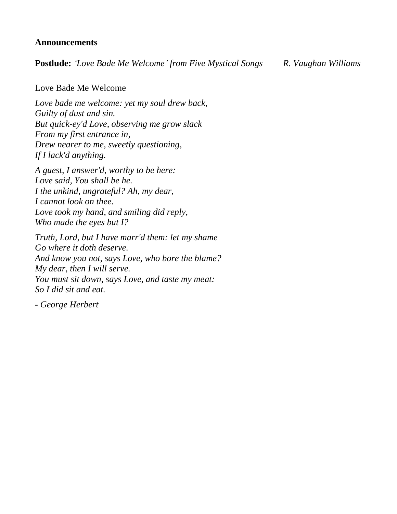#### **Announcements**

**Postlude:** *'Love Bade Me Welcome' from Five Mystical Songs R. Vaughan Williams*

#### Love Bade Me Welcome

*Love bade me welcome: yet my soul drew back, Guilty of dust and sin. But quick-ey'd Love, observing me grow slack From my first entrance in, Drew nearer to me, sweetly questioning, If I lack'd anything.*

*A guest, I answer'd, worthy to be here: Love said, You shall be he. I the unkind, ungrateful? Ah, my dear, I cannot look on thee. Love took my hand, and smiling did reply, Who made the eyes but I?*

*Truth, Lord, but I have marr'd them: let my shame Go where it doth deserve. And know you not, says Love, who bore the blame? My dear, then I will serve. You must sit down, says Love, and taste my meat: So I did sit and eat.*

*- George Herbert*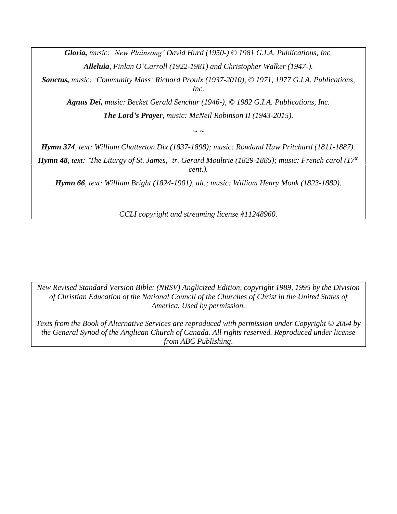*Gloria, music: 'New Plainsong' David Hurd (1950-) © 1981 G.I.A. Publications, Inc. Alleluia, Finlan O'Carroll (1922-1981) and Christopher Walker (1947-).*

*Sanctus, music: 'Community Mass' Richard Proulx (1937-2010), © 1971, 1977 G.I.A. Publications, Inc.*

*Agnus Dei, music: Becket Gerald Senchur (1946-), © 1982 G.I.A. Publications, Inc. The Lord's Prayer, music: McNeil Robinson II (1943-2015).*

*~ ~*

*Hymn 374, text: William Chatterton Dix (1837-1898); music: Rowland Huw Pritchard (1811-1887).*

*Hymn 48, text: 'The Liturgy of St. James,' tr. Gerard Moultrie (1829-1885); music: French carol (17th cent.).*

*Hymn 66, text: William Bright (1824-1901), alt.; music: William Henry Monk (1823-1889).*

*CCLI copyright and streaming license #11248960.*

*New Revised Standard Version Bible: (NRSV) Anglicized Edition, copyright 1989, 1995 by the Division of Christian Education of the National Council of the Churches of Christ in the United States of America. Used by permission.*

*Texts from the Book of Alternative Services are reproduced with permission under Copyright © 2004 by the General Synod of the Anglican Church of Canada. All rights reserved. Reproduced under license from ABC Publishing*.